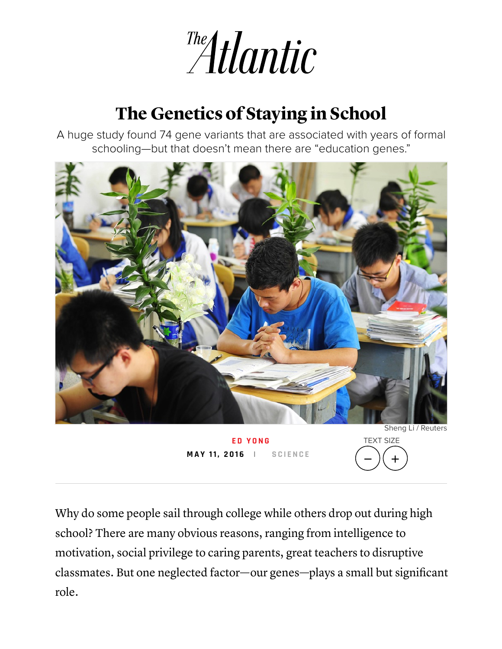

## The Genetics of Staying in School

A huge study found 74 gene variants that are associated with years of formal schooling—but that doesn't mean there are "education genes."



**E D Y O [N](http://www.theatlantic.com/author/ed-yong/) G M A Y 11, 2 0 1 6 | S C I E [N](http://www.theatlantic.com/science/) C E**

TEXT SIZE 一 )( +

Why do some people sail through college while others drop out during high school? There are many obvious reasons, ranging from intelligence to motivation, social privilege to caring parents, great teachers to disruptive classmates. But one neglected factor—our genes—plays a small but significant role.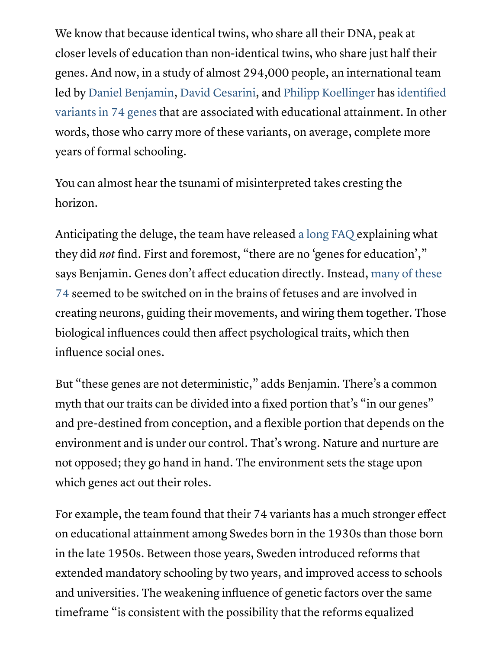We know that because identical twins, who share all their DNA, peak at closer levels of education than non-identical twins, who share just half their genes. And now, in a study of almost 294,000 people, an international team led by Daniel [Benjamin](http://www.danieljbenjamin.com/), David [Cesarini,](http://econ.as.nyu.edu/object/DavidCesarini.html) and Philipp [Koellinger](http://www.erim.eur.nl/people/philipp-koellinger/) has identified variants in 74 genes that are associated with [educational](http://nature.com/articles/doi:10.1038/nature17671) attainment. In other words, those who carry more of these variants, on average, complete more years of formal schooling.

You can almost hear the tsunami of misinterpreted takes cresting the horizon.

Anticipating the deluge, the team have released a long [FAQ](http://ssgac.org/documents/FAQ_74_loci_educational_attainment.pdf) explaining what they did *not* find. First and foremost, "there are no 'genes for education'," says [Benjamin.](http://nature.com/articles/doi:10.1038/nature17671) Genes don't affect education directly. Instead, many of these 74 seemed to be switched on in the brains of fetuses and are involved in creating neurons, guiding their movements, and wiring them together. Those biological influences could then affect psychological traits, which then influence social ones.

But "these genes are not deterministic, " adds Benjamin. There's a common myth that our traits can be divided into a fixed portion that's "in our genes" and pre-destined from conception, and a flexible portion that depends on the environment and is under our control. That's wrong. Nature and nurture are not opposed; they go hand in hand. The environment sets the stage upon which genes act out their roles.

For example, the team found that their 74 variants has a much stronger effect on educational attainment among Swedes born in the 1930s than those born in the late 1950s. Between those years, Sweden introduced reforms that extended mandatory schooling by two years, and improved access to schools and universities. The weakening influence of genetic factors over the same timeframe "is consistent with the possibility that the reforms equalized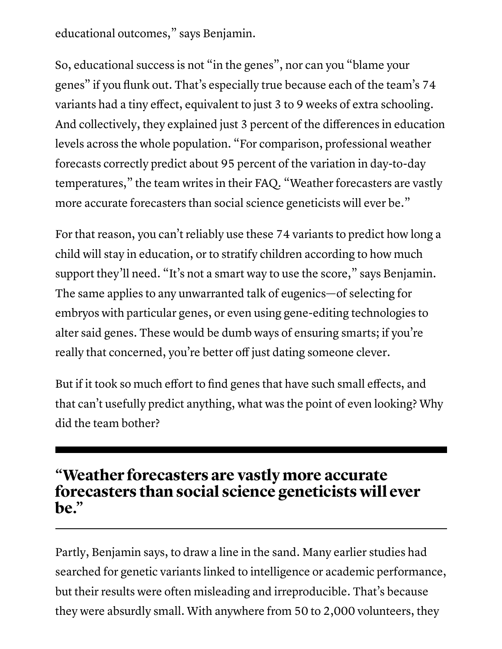educational outcomes, " says Benjamin.

So, educational success is not "in the genes" , nor can you "blame your genes" if you flunk out. That's especially true because each of the team's 74 variants had a tiny effect, equivalent to just 3 to 9 weeks of extra schooling. And collectively, they explained just 3 percent of the differences in education levels across the whole population. "For comparison, professional weather forecasts correctly predict about 95 percent of the variation in day-to-day temperatures, " the team writes in their FAQ. "Weather forecasters are vastly more accurate forecasters than social science geneticists will ever be."

For that reason, you can't reliably use these 74 variants to predict how long a child will stay in education, or to stratify children according to how much support they 'll need. "It's not a smart way to use the score, " says Benjamin. The same applies to any unwarranted talk of eugenics—of selecting for embryos with particular genes, or even using gene-editing technologies to alter said genes. These would be dumb ways of ensuring smarts; if you're really that concerned, you're better off just dating someone clever.

But if it took so much effort to find genes that have such small effects, and that can't usefully predict anything, what was the point of even looking? Why did the team bother?

## "Weather forecasters are vastly more accurate forecasters than social science geneticists will ever be."

Partly, Benjamin says, to draw a line in the sand. Many earlier studies had searched for genetic variants linked to intelligence or academic performance, but their results were often misleading and irreproducible. That's because they were absurdly small. With anywhere from 50 to 2,000 volunteers, they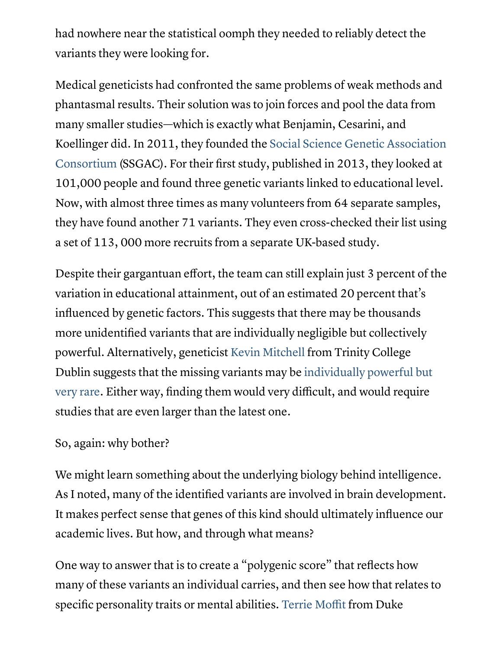had nowhere near the statistical oomph they needed to reliably detect the variants they were looking for.

Medical geneticists had confronted the same problems of weak methods and phantasmal results. Their solution was to join forces and pool the data from many smaller studies—which is exactly what Benjamin, Cesarini, and Koellinger did. In 2011, they founded the Social Science Genetic Association [Consortium](http://www.ssgac.org/) (SSGAC). For their first study, published in 2013, they looked at 101,000 people and found three genetic variants linked to educational level. Now, with almost three times as many volunteers from 64 separate samples, they have found another 71 variants. They even cross-checked their list using a set of 113, 000 more recruits from a separate UK-based study.

Despite their gargantuan effort, the team can still explain just 3 percent of the variation in educational attainment, out of an estimated 20 percent that's influenced by genetic factors. This suggests that there may be thousands more unidentified variants that are individually negligible but collectively powerful. Alternatively, geneticist Kevin [Mitchell](http://www.gen.tcd.ie/mitchell/) from Trinity College Dublin suggests that the missing variants may be [individually](http://www.wiringthebrain.com/2012/07/genetics-of-stupidity.html) powerful but very rare. Either way, finding them would very difficult, and would require studies that are even larger than the latest one.

## So, again: why bother?

We might learn something about the underlying biology behind intelligence. As I noted, many of the identified variants are involved in brain development. It makes perfect sense that genes of this kind should ultimately influence our academic lives. But how, and through what means?

One way to answer that is to create a " polygenic score" that reflects how many of these variants an individual carries, and then see how that relates to specific personality traits or mental abilities. Terrie [Moffit](http://www.moffittcaspi.com/) from Duke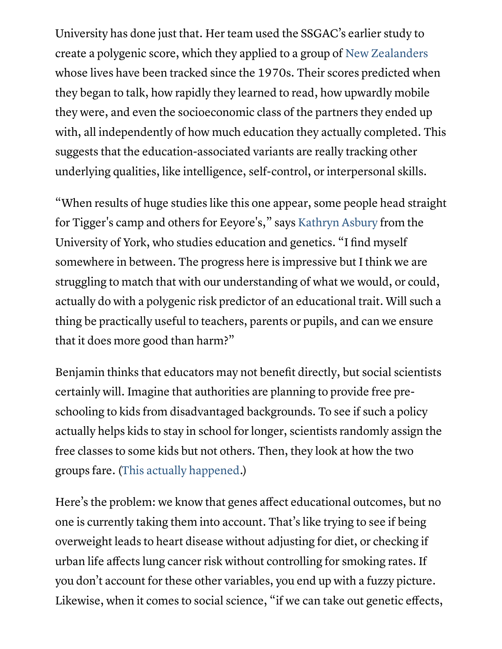University has done just that. Her team used the SSGAC's earlier study to create a polygenic score, which they applied to a group of New [Zealanders](https://en.wikipedia.org/wiki/Dunedin_Multidisciplinary_Health_and_Development_Study) whose lives have been tracked since the 1970s. Their scores predicted when they began to talk, how rapidly they learned to read, how upwardly mobile they were, and even the socioeconomic class of the partners they ended up with, all independently of how much education they actually completed. This suggests that the education-associated variants are really tracking other underlying qualities, like intelligence, self-control, or interpersonal skills.

"When results of huge studies like this one appear, some people head straight for Tigger's camp and others for Eeyore's, " says [Kathryn](http://www.theatlantic.com/science/archive/2016/05/the-genetics-of-staying-in-school/482052/but) Asbury from the University of York, who studies education and genetics. "I find myself somewhere in between. The progress here is impressive but I think we are struggling to match that with our understanding of what we would, or could, actually do with a polygenic risk predictor of an educational trait. Will such a thing be practically useful to teachers, parents or pupils, and can we ensure that it does more good than harm?"

Benjamin thinks that educators may not benefit directly, but social scientists certainly will. Imagine that authorities are planning to provide free preschooling to kids from disadvantaged backgrounds. To see if such a policy actually helps kids to stay in school for longer, scientists randomly assign the free classes to some kids but not others. Then, they look at how the two groups fare. (This actually [happened](http://www.theatlantic.com/science/archive/2016/05/the-genetics-of-staying-in-school/482052/government%20is).)

Here's the problem: we know that genes affect educational outcomes, but no one is currently taking them into account. That's like trying to see if being overweight leads to heart disease without adjusting for diet, or checking if urban life affects lung cancer risk without controlling for smoking rates. If you don't account for these other variables, you end up with a fuzzy picture. Likewise, when it comes to social science, "if we can take out genetic effects,